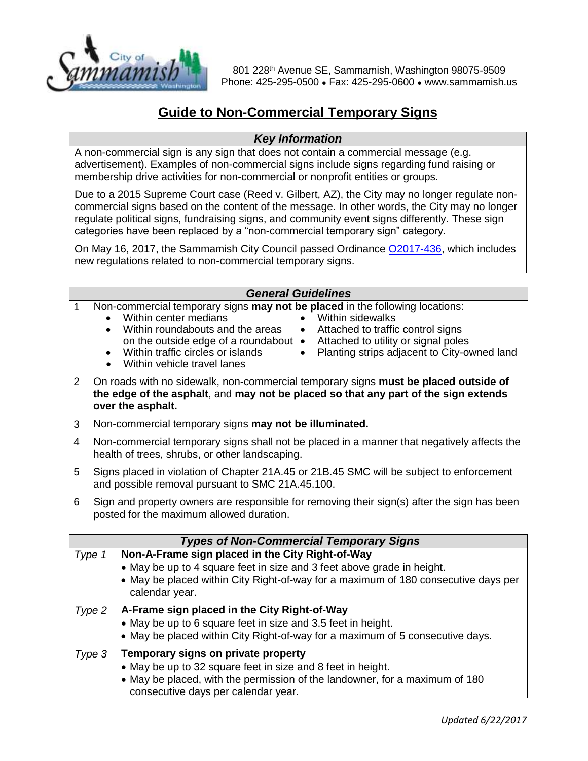

801 228<sup>th</sup> Avenue SE, Sammamish, Washington 98075-9509 Phone: 425-295-0500 ● Fax: 425-295-0600 ● www.sammamish.us

# **Guide to Non-Commercial Temporary Signs**

### *Key Information*

A non-commercial sign is any sign that does not contain a commercial message (e.g. advertisement). Examples of non-commercial signs include signs regarding fund raising or membership drive activities for non-commercial or nonprofit entities or groups.

Due to a 2015 Supreme Court case (Reed v. Gilbert, AZ), the City may no longer regulate noncommercial signs based on the content of the message. In other words, the City may no longer regulate political signs, fundraising signs, and community event signs differently. These sign categories have been replaced by a "non-commercial temporary sign" category.

On May 16, 2017, the Sammamish City Council passed Ordinance [O2017-436,](https://www.sammamish.us/attachments/ordinances/O2017-436%20-%20Sign%20Code.pdf) which includes new regulations related to non-commercial temporary signs.

#### *General Guidelines*

- 1 Non-commercial temporary signs **may not be placed** in the following locations:
	- Within center medians
		- Within roundabouts and the areas on the outside edge of a roundabout  $\bullet$
- Within sidewalks<br>• Attached to traffic
	- Attached to traffic control signs
	- Attached to utility or signal poles
	- Within traffic circles or islands
- Planting strips adjacent to City-owned land
- Within vehicle travel lanes
- 2 On roads with no sidewalk, non-commercial temporary signs **must be placed outside of the edge of the asphalt**, and **may not be placed so that any part of the sign extends over the asphalt.**
- 3 Non-commercial temporary signs **may not be illuminated.**
- 4 Non-commercial temporary signs shall not be placed in a manner that negatively affects the health of trees, shrubs, or other landscaping.
- 5 Signs placed in violation of Chapter 21A.45 or 21B.45 SMC will be subject to enforcement and possible removal pursuant to SMC 21A.45.100.
- 6 Sign and property owners are responsible for removing their sign(s) after the sign has been posted for the maximum allowed duration.

| <b>Types of Non-Commercial Temporary Signs</b> |                                                                                                                                                                                                                                    |
|------------------------------------------------|------------------------------------------------------------------------------------------------------------------------------------------------------------------------------------------------------------------------------------|
| Type 1                                         | Non-A-Frame sign placed in the City Right-of-Way<br>• May be up to 4 square feet in size and 3 feet above grade in height.<br>• May be placed within City Right-of-way for a maximum of 180 consecutive days per<br>calendar year. |
| Type 2                                         | A-Frame sign placed in the City Right-of-Way<br>• May be up to 6 square feet in size and 3.5 feet in height.<br>• May be placed within City Right-of-way for a maximum of 5 consecutive days.                                      |
| Type 3                                         | Temporary signs on private property<br>• May be up to 32 square feet in size and 8 feet in height.<br>• May be placed, with the permission of the landowner, for a maximum of 180<br>consecutive days per calendar year.           |